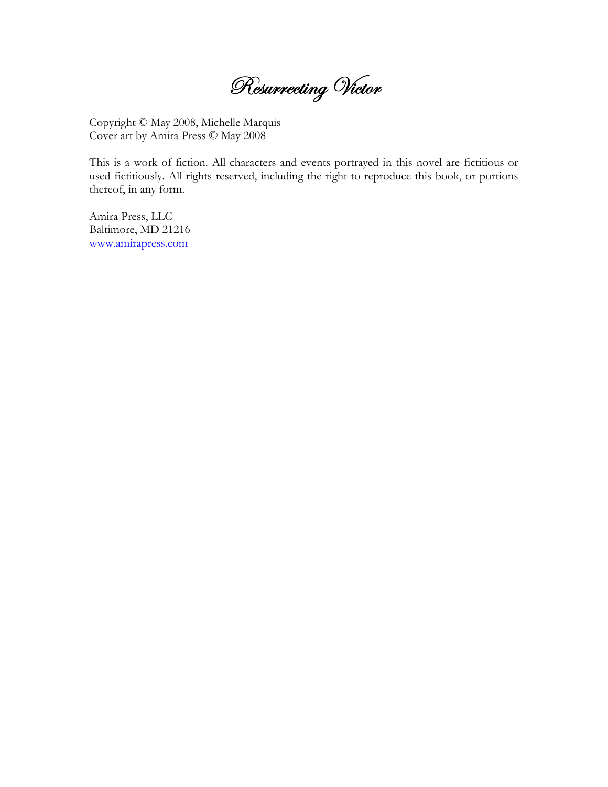Resurrecting Victor

Copyright © May 2008, Michelle Marquis Cover art by Amira Press © May 2008

This is a work of fiction. All characters and events portrayed in this novel are fictitious or used fictitiously. All rights reserved, including the right to reproduce this book, or portions thereof, in any form.

Amira Press, LLC Baltimore, MD 21216 www.amirapress.com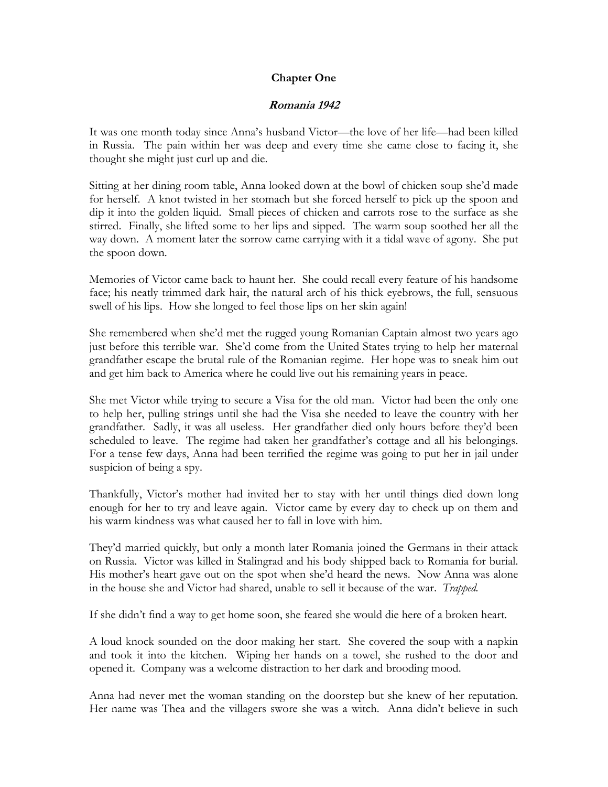# **Chapter One**

# **Romania 1942**

It was one month today since Anna's husband Victor—the love of her life—had been killed in Russia. The pain within her was deep and every time she came close to facing it, she thought she might just curl up and die.

Sitting at her dining room table, Anna looked down at the bowl of chicken soup she'd made for herself. A knot twisted in her stomach but she forced herself to pick up the spoon and dip it into the golden liquid. Small pieces of chicken and carrots rose to the surface as she stirred. Finally, she lifted some to her lips and sipped. The warm soup soothed her all the way down. A moment later the sorrow came carrying with it a tidal wave of agony. She put the spoon down.

Memories of Victor came back to haunt her. She could recall every feature of his handsome face; his neatly trimmed dark hair, the natural arch of his thick eyebrows, the full, sensuous swell of his lips. How she longed to feel those lips on her skin again!

She remembered when she'd met the rugged young Romanian Captain almost two years ago just before this terrible war. She'd come from the United States trying to help her maternal grandfather escape the brutal rule of the Romanian regime. Her hope was to sneak him out and get him back to America where he could live out his remaining years in peace.

She met Victor while trying to secure a Visa for the old man. Victor had been the only one to help her, pulling strings until she had the Visa she needed to leave the country with her grandfather. Sadly, it was all useless. Her grandfather died only hours before they'd been scheduled to leave. The regime had taken her grandfather's cottage and all his belongings. For a tense few days, Anna had been terrified the regime was going to put her in jail under suspicion of being a spy.

Thankfully, Victor's mother had invited her to stay with her until things died down long enough for her to try and leave again. Victor came by every day to check up on them and his warm kindness was what caused her to fall in love with him.

They'd married quickly, but only a month later Romania joined the Germans in their attack on Russia. Victor was killed in Stalingrad and his body shipped back to Romania for burial. His mother's heart gave out on the spot when she'd heard the news. Now Anna was alone in the house she and Victor had shared, unable to sell it because of the war. *Trapped.* 

If she didn't find a way to get home soon, she feared she would die here of a broken heart.

A loud knock sounded on the door making her start. She covered the soup with a napkin and took it into the kitchen. Wiping her hands on a towel, she rushed to the door and opened it. Company was a welcome distraction to her dark and brooding mood.

Anna had never met the woman standing on the doorstep but she knew of her reputation. Her name was Thea and the villagers swore she was a witch. Anna didn't believe in such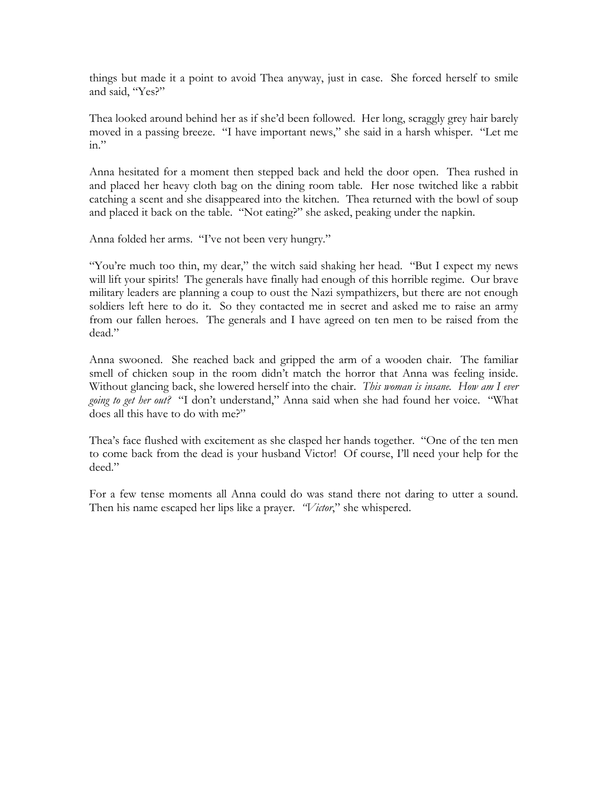things but made it a point to avoid Thea anyway, just in case. She forced herself to smile and said, "Yes?"

Thea looked around behind her as if she'd been followed. Her long, scraggly grey hair barely moved in a passing breeze. "I have important news," she said in a harsh whisper. "Let me  $in.$ "

Anna hesitated for a moment then stepped back and held the door open. Thea rushed in and placed her heavy cloth bag on the dining room table. Her nose twitched like a rabbit catching a scent and she disappeared into the kitchen. Thea returned with the bowl of soup and placed it back on the table. "Not eating?" she asked, peaking under the napkin.

Anna folded her arms. "I've not been very hungry."

"You're much too thin, my dear," the witch said shaking her head. "But I expect my news will lift your spirits! The generals have finally had enough of this horrible regime. Our brave military leaders are planning a coup to oust the Nazi sympathizers, but there are not enough soldiers left here to do it. So they contacted me in secret and asked me to raise an army from our fallen heroes. The generals and I have agreed on ten men to be raised from the dead."

Anna swooned. She reached back and gripped the arm of a wooden chair. The familiar smell of chicken soup in the room didn't match the horror that Anna was feeling inside. Without glancing back, she lowered herself into the chair. *This woman is insane. How am I ever going to get her out?* "I don't understand," Anna said when she had found her voice. "What does all this have to do with me?"

Thea's face flushed with excitement as she clasped her hands together. "One of the ten men to come back from the dead is your husband Victor! Of course, I'll need your help for the deed."

For a few tense moments all Anna could do was stand there not daring to utter a sound. Then his name escaped her lips like a prayer. *"Victor*," she whispered.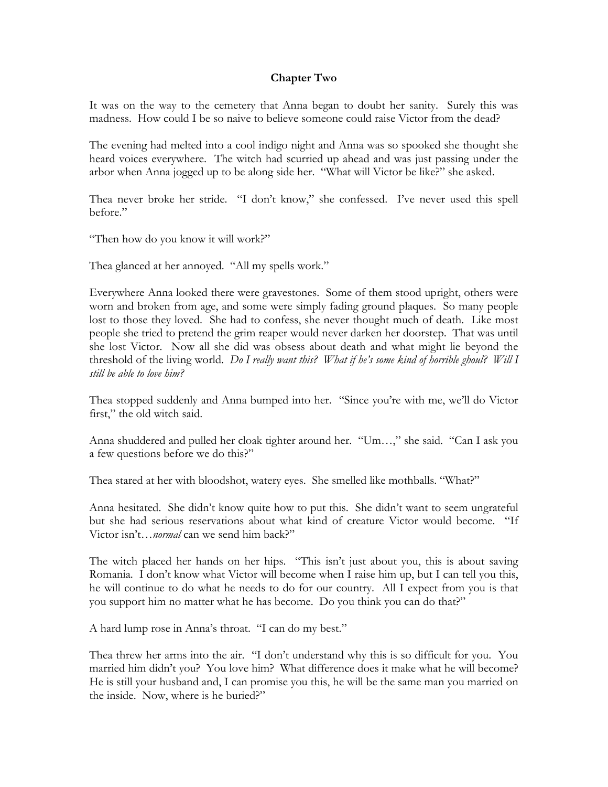## **Chapter Two**

It was on the way to the cemetery that Anna began to doubt her sanity. Surely this was madness. How could I be so naive to believe someone could raise Victor from the dead?

The evening had melted into a cool indigo night and Anna was so spooked she thought she heard voices everywhere. The witch had scurried up ahead and was just passing under the arbor when Anna jogged up to be along side her. "What will Victor be like?" she asked.

Thea never broke her stride. "I don't know," she confessed. I've never used this spell before."

"Then how do you know it will work?"

Thea glanced at her annoyed. "All my spells work."

Everywhere Anna looked there were gravestones. Some of them stood upright, others were worn and broken from age, and some were simply fading ground plaques. So many people lost to those they loved. She had to confess, she never thought much of death. Like most people she tried to pretend the grim reaper would never darken her doorstep. That was until she lost Victor. Now all she did was obsess about death and what might lie beyond the threshold of the living world. *Do I really want this? What if he's some kind of horrible ghoul? Will I still be able to love him?* 

Thea stopped suddenly and Anna bumped into her. "Since you're with me, we'll do Victor first," the old witch said.

Anna shuddered and pulled her cloak tighter around her. "Um…," she said. "Can I ask you a few questions before we do this?"

Thea stared at her with bloodshot, watery eyes. She smelled like mothballs. "What?"

Anna hesitated. She didn't know quite how to put this. She didn't want to seem ungrateful but she had serious reservations about what kind of creature Victor would become. "If Victor isn't…*normal* can we send him back?"

The witch placed her hands on her hips. "This isn't just about you, this is about saving Romania. I don't know what Victor will become when I raise him up, but I can tell you this, he will continue to do what he needs to do for our country. All I expect from you is that you support him no matter what he has become. Do you think you can do that?"

A hard lump rose in Anna's throat. "I can do my best."

Thea threw her arms into the air. "I don't understand why this is so difficult for you. You married him didn't you? You love him? What difference does it make what he will become? He is still your husband and, I can promise you this, he will be the same man you married on the inside. Now, where is he buried?"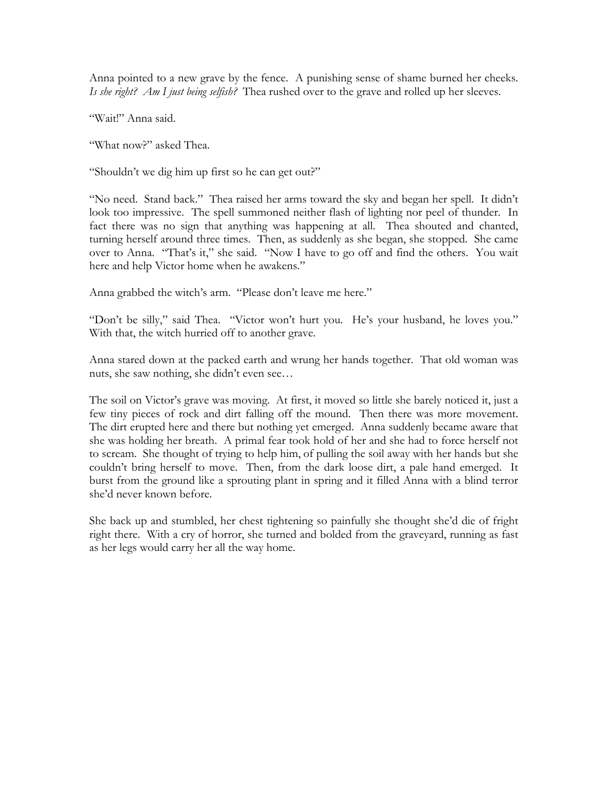Anna pointed to a new grave by the fence. A punishing sense of shame burned her cheeks. *Is she right? Am I just being selfish?* Thea rushed over to the grave and rolled up her sleeves.

"Wait!" Anna said.

"What now?" asked Thea.

"Shouldn't we dig him up first so he can get out?"

"No need. Stand back." Thea raised her arms toward the sky and began her spell. It didn't look too impressive. The spell summoned neither flash of lighting nor peel of thunder. In fact there was no sign that anything was happening at all. Thea shouted and chanted, turning herself around three times. Then, as suddenly as she began, she stopped. She came over to Anna. "That's it," she said. "Now I have to go off and find the others. You wait here and help Victor home when he awakens."

Anna grabbed the witch's arm. "Please don't leave me here."

"Don't be silly," said Thea. "Victor won't hurt you. He's your husband, he loves you." With that, the witch hurried off to another grave.

Anna stared down at the packed earth and wrung her hands together. That old woman was nuts, she saw nothing, she didn't even see…

The soil on Victor's grave was moving. At first, it moved so little she barely noticed it, just a few tiny pieces of rock and dirt falling off the mound. Then there was more movement. The dirt erupted here and there but nothing yet emerged. Anna suddenly became aware that she was holding her breath. A primal fear took hold of her and she had to force herself not to scream. She thought of trying to help him, of pulling the soil away with her hands but she couldn't bring herself to move. Then, from the dark loose dirt, a pale hand emerged. It burst from the ground like a sprouting plant in spring and it filled Anna with a blind terror she'd never known before.

She back up and stumbled, her chest tightening so painfully she thought she'd die of fright right there. With a cry of horror, she turned and bolded from the graveyard, running as fast as her legs would carry her all the way home.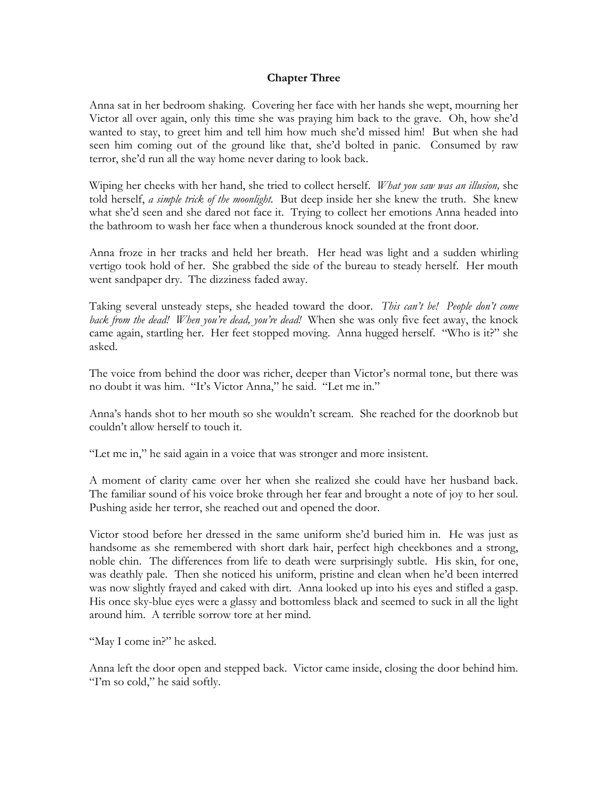## **Chapter Three**

Anna sat in her bedroom shaking. Covering her face with her hands she wept, mourning her Victor all over again, only this time she was praying him back to the grave. Oh, how she'd wanted to stay, to greet him and tell him how much she'd missed him! But when she had seen him coming out of the ground like that, she'd bolted in panic. Consumed by raw terror, she'd run all the way home never daring to look back.

Wiping her cheeks with her hand, she tried to collect herself. *What you saw was an illusion,* she told herself, *a simple trick of the moonlight.* But deep inside her she knew the truth. She knew what she'd seen and she dared not face it. Trying to collect her emotions Anna headed into the bathroom to wash her face when a thunderous knock sounded at the front door.

Anna froze in her tracks and held her breath. Her head was light and a sudden whirling vertigo took hold of her. She grabbed the side of the bureau to steady herself. Her mouth went sandpaper dry. The dizziness faded away.

Taking several unsteady steps, she headed toward the door. *This can't be! People don't come back from the dead! When you're dead, you're dead!* When she was only five feet away, the knock came again, startling her. Her feet stopped moving. Anna hugged herself. "Who is it?" she asked.

The voice from behind the door was richer, deeper than Victor's normal tone, but there was no doubt it was him. "It's Victor Anna," he said. "Let me in."

Anna's hands shot to her mouth so she wouldn't scream. She reached for the doorknob but couldn't allow herself to touch it.

"Let me in," he said again in a voice that was stronger and more insistent.

A moment of clarity came over her when she realized she could have her husband back. The familiar sound of his voice broke through her fear and brought a note of joy to her soul. Pushing aside her terror, she reached out and opened the door.

Victor stood before her dressed in the same uniform she'd buried him in. He was just as handsome as she remembered with short dark hair, perfect high cheekbones and a strong, noble chin. The differences from life to death were surprisingly subtle. His skin, for one, was deathly pale. Then she noticed his uniform, pristine and clean when he'd been interred was now slightly frayed and caked with dirt. Anna looked up into his eyes and stifled a gasp. His once sky-blue eyes were a glassy and bottomless black and seemed to suck in all the light around him. A terrible sorrow tore at her mind.

"May I come in?" he asked.

Anna left the door open and stepped back. Victor came inside, closing the door behind him. "I'm so cold," he said softly.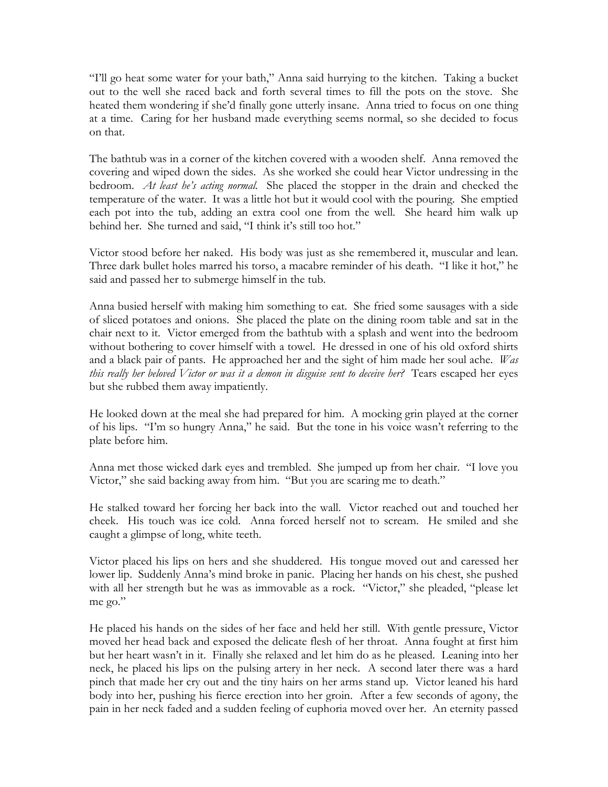"I'll go heat some water for your bath," Anna said hurrying to the kitchen. Taking a bucket out to the well she raced back and forth several times to fill the pots on the stove. She heated them wondering if she'd finally gone utterly insane. Anna tried to focus on one thing at a time. Caring for her husband made everything seems normal, so she decided to focus on that.

The bathtub was in a corner of the kitchen covered with a wooden shelf. Anna removed the covering and wiped down the sides. As she worked she could hear Victor undressing in the bedroom. *At least he's acting normal.* She placed the stopper in the drain and checked the temperature of the water. It was a little hot but it would cool with the pouring. She emptied each pot into the tub, adding an extra cool one from the well. She heard him walk up behind her. She turned and said, "I think it's still too hot."

Victor stood before her naked. His body was just as she remembered it, muscular and lean. Three dark bullet holes marred his torso, a macabre reminder of his death. "I like it hot," he said and passed her to submerge himself in the tub.

Anna busied herself with making him something to eat. She fried some sausages with a side of sliced potatoes and onions. She placed the plate on the dining room table and sat in the chair next to it. Victor emerged from the bathtub with a splash and went into the bedroom without bothering to cover himself with a towel. He dressed in one of his old oxford shirts and a black pair of pants. He approached her and the sight of him made her soul ache. *Was this really her beloved Victor or was it a demon in disguise sent to deceive her?* Tears escaped her eyes but she rubbed them away impatiently.

He looked down at the meal she had prepared for him. A mocking grin played at the corner of his lips. "I'm so hungry Anna," he said. But the tone in his voice wasn't referring to the plate before him.

Anna met those wicked dark eyes and trembled. She jumped up from her chair. "I love you Victor," she said backing away from him. "But you are scaring me to death."

He stalked toward her forcing her back into the wall. Victor reached out and touched her cheek. His touch was ice cold. Anna forced herself not to scream. He smiled and she caught a glimpse of long, white teeth.

Victor placed his lips on hers and she shuddered. His tongue moved out and caressed her lower lip. Suddenly Anna's mind broke in panic. Placing her hands on his chest, she pushed with all her strength but he was as immovable as a rock. "Victor," she pleaded, "please let me go."

He placed his hands on the sides of her face and held her still. With gentle pressure, Victor moved her head back and exposed the delicate flesh of her throat. Anna fought at first him but her heart wasn't in it. Finally she relaxed and let him do as he pleased. Leaning into her neck, he placed his lips on the pulsing artery in her neck. A second later there was a hard pinch that made her cry out and the tiny hairs on her arms stand up. Victor leaned his hard body into her, pushing his fierce erection into her groin. After a few seconds of agony, the pain in her neck faded and a sudden feeling of euphoria moved over her. An eternity passed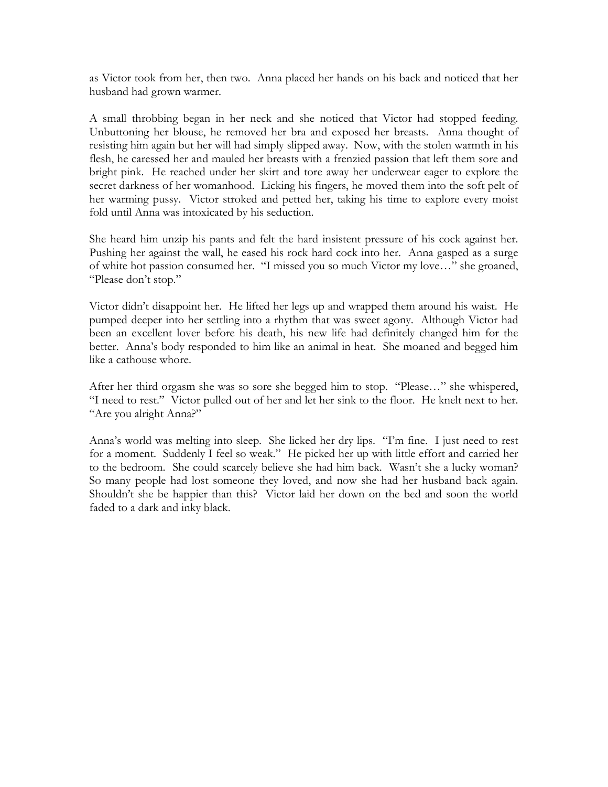as Victor took from her, then two. Anna placed her hands on his back and noticed that her husband had grown warmer.

A small throbbing began in her neck and she noticed that Victor had stopped feeding. Unbuttoning her blouse, he removed her bra and exposed her breasts. Anna thought of resisting him again but her will had simply slipped away. Now, with the stolen warmth in his flesh, he caressed her and mauled her breasts with a frenzied passion that left them sore and bright pink. He reached under her skirt and tore away her underwear eager to explore the secret darkness of her womanhood. Licking his fingers, he moved them into the soft pelt of her warming pussy. Victor stroked and petted her, taking his time to explore every moist fold until Anna was intoxicated by his seduction.

She heard him unzip his pants and felt the hard insistent pressure of his cock against her. Pushing her against the wall, he eased his rock hard cock into her. Anna gasped as a surge of white hot passion consumed her. "I missed you so much Victor my love…" she groaned, "Please don't stop."

Victor didn't disappoint her. He lifted her legs up and wrapped them around his waist. He pumped deeper into her settling into a rhythm that was sweet agony. Although Victor had been an excellent lover before his death, his new life had definitely changed him for the better. Anna's body responded to him like an animal in heat. She moaned and begged him like a cathouse whore.

After her third orgasm she was so sore she begged him to stop. "Please…" she whispered, "I need to rest." Victor pulled out of her and let her sink to the floor. He knelt next to her. "Are you alright Anna?"

Anna's world was melting into sleep. She licked her dry lips. "I'm fine. I just need to rest for a moment. Suddenly I feel so weak." He picked her up with little effort and carried her to the bedroom. She could scarcely believe she had him back. Wasn't she a lucky woman? So many people had lost someone they loved, and now she had her husband back again. Shouldn't she be happier than this? Victor laid her down on the bed and soon the world faded to a dark and inky black.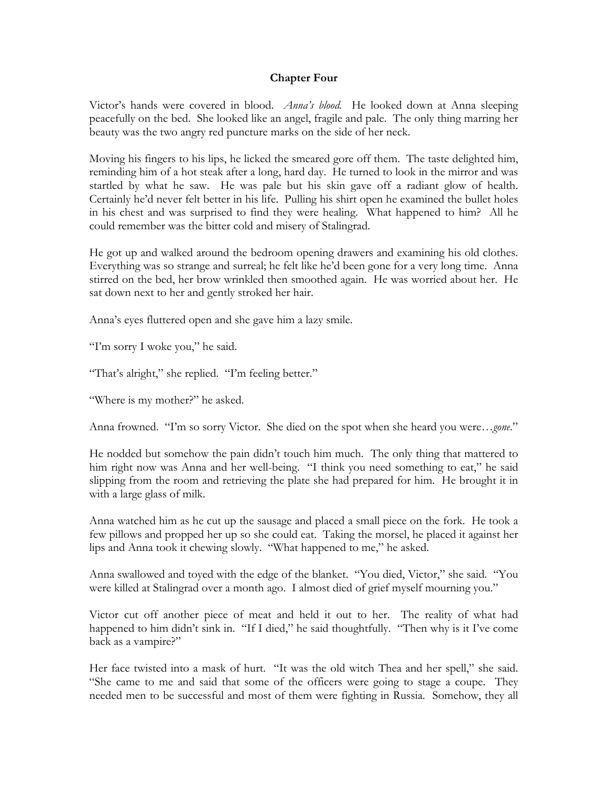## **Chapter Four**

Victor's hands were covered in blood. *Anna's blood.* He looked down at Anna sleeping peacefully on the bed. She looked like an angel, fragile and pale. The only thing marring her beauty was the two angry red puncture marks on the side of her neck.

Moving his fingers to his lips, he licked the smeared gore off them. The taste delighted him, reminding him of a hot steak after a long, hard day. He turned to look in the mirror and was startled by what he saw. He was pale but his skin gave off a radiant glow of health. Certainly he'd never felt better in his life. Pulling his shirt open he examined the bullet holes in his chest and was surprised to find they were healing. What happened to him? All he could remember was the bitter cold and misery of Stalingrad.

He got up and walked around the bedroom opening drawers and examining his old clothes. Everything was so strange and surreal; he felt like he'd been gone for a very long time. Anna stirred on the bed, her brow wrinkled then smoothed again. He was worried about her. He sat down next to her and gently stroked her hair.

Anna's eyes fluttered open and she gave him a lazy smile.

"I'm sorry I woke you," he said.

"That's alright," she replied. "I'm feeling better."

"Where is my mother?" he asked.

Anna frowned. "I'm so sorry Victor. She died on the spot when she heard you were…*gone*."

He nodded but somehow the pain didn't touch him much. The only thing that mattered to him right now was Anna and her well-being. "I think you need something to eat," he said slipping from the room and retrieving the plate she had prepared for him. He brought it in with a large glass of milk.

Anna watched him as he cut up the sausage and placed a small piece on the fork. He took a few pillows and propped her up so she could eat. Taking the morsel, he placed it against her lips and Anna took it chewing slowly. "What happened to me," he asked.

Anna swallowed and toyed with the edge of the blanket. "You died, Victor," she said. "You were killed at Stalingrad over a month ago. I almost died of grief myself mourning you."

Victor cut off another piece of meat and held it out to her. The reality of what had happened to him didn't sink in. "If I died," he said thoughtfully. "Then why is it I've come back as a vampire?"

Her face twisted into a mask of hurt. "It was the old witch Thea and her spell," she said. "She came to me and said that some of the officers were going to stage a coupe. They needed men to be successful and most of them were fighting in Russia. Somehow, they all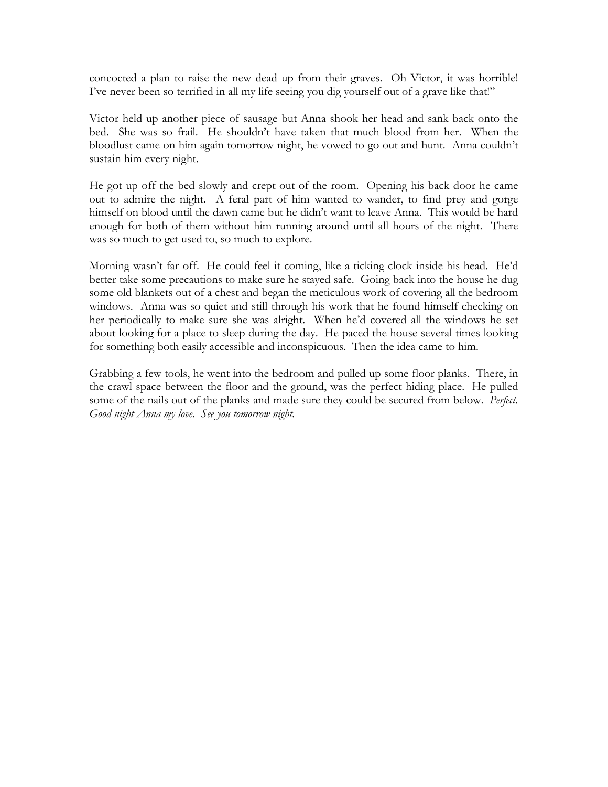concocted a plan to raise the new dead up from their graves. Oh Victor, it was horrible! I've never been so terrified in all my life seeing you dig yourself out of a grave like that!"

Victor held up another piece of sausage but Anna shook her head and sank back onto the bed. She was so frail. He shouldn't have taken that much blood from her. When the bloodlust came on him again tomorrow night, he vowed to go out and hunt. Anna couldn't sustain him every night.

He got up off the bed slowly and crept out of the room. Opening his back door he came out to admire the night. A feral part of him wanted to wander, to find prey and gorge himself on blood until the dawn came but he didn't want to leave Anna. This would be hard enough for both of them without him running around until all hours of the night. There was so much to get used to, so much to explore.

Morning wasn't far off. He could feel it coming, like a ticking clock inside his head. He'd better take some precautions to make sure he stayed safe. Going back into the house he dug some old blankets out of a chest and began the meticulous work of covering all the bedroom windows. Anna was so quiet and still through his work that he found himself checking on her periodically to make sure she was alright. When he'd covered all the windows he set about looking for a place to sleep during the day. He paced the house several times looking for something both easily accessible and inconspicuous. Then the idea came to him.

Grabbing a few tools, he went into the bedroom and pulled up some floor planks. There, in the crawl space between the floor and the ground, was the perfect hiding place. He pulled some of the nails out of the planks and made sure they could be secured from below. *Perfect. Good night Anna my love. See you tomorrow night.*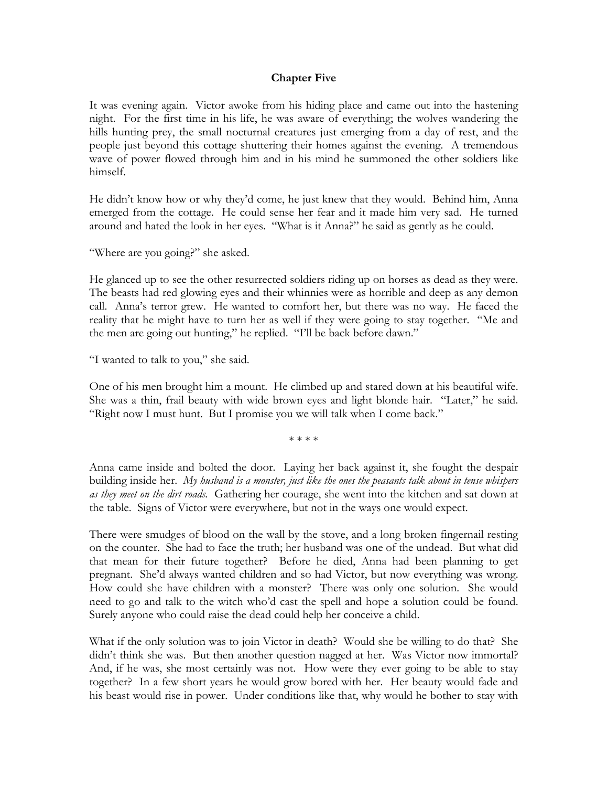#### **Chapter Five**

It was evening again. Victor awoke from his hiding place and came out into the hastening night. For the first time in his life, he was aware of everything; the wolves wandering the hills hunting prey, the small nocturnal creatures just emerging from a day of rest, and the people just beyond this cottage shuttering their homes against the evening. A tremendous wave of power flowed through him and in his mind he summoned the other soldiers like himself.

He didn't know how or why they'd come, he just knew that they would. Behind him, Anna emerged from the cottage. He could sense her fear and it made him very sad. He turned around and hated the look in her eyes. "What is it Anna?" he said as gently as he could.

"Where are you going?" she asked.

He glanced up to see the other resurrected soldiers riding up on horses as dead as they were. The beasts had red glowing eyes and their whinnies were as horrible and deep as any demon call. Anna's terror grew. He wanted to comfort her, but there was no way. He faced the reality that he might have to turn her as well if they were going to stay together. "Me and the men are going out hunting," he replied. "I'll be back before dawn."

"I wanted to talk to you," she said.

One of his men brought him a mount. He climbed up and stared down at his beautiful wife. She was a thin, frail beauty with wide brown eyes and light blonde hair. "Later," he said. "Right now I must hunt. But I promise you we will talk when I come back."

\* \* \* \*

Anna came inside and bolted the door. Laying her back against it, she fought the despair building inside her. *My husband is a monster, just like the ones the peasants talk about in tense whispers as they meet on the dirt roads.* Gathering her courage, she went into the kitchen and sat down at the table. Signs of Victor were everywhere, but not in the ways one would expect.

There were smudges of blood on the wall by the stove, and a long broken fingernail resting on the counter. She had to face the truth; her husband was one of the undead. But what did that mean for their future together? Before he died, Anna had been planning to get pregnant. She'd always wanted children and so had Victor, but now everything was wrong. How could she have children with a monster? There was only one solution. She would need to go and talk to the witch who'd cast the spell and hope a solution could be found. Surely anyone who could raise the dead could help her conceive a child.

What if the only solution was to join Victor in death? Would she be willing to do that? She didn't think she was. But then another question nagged at her. Was Victor now immortal? And, if he was, she most certainly was not. How were they ever going to be able to stay together? In a few short years he would grow bored with her. Her beauty would fade and his beast would rise in power. Under conditions like that, why would he bother to stay with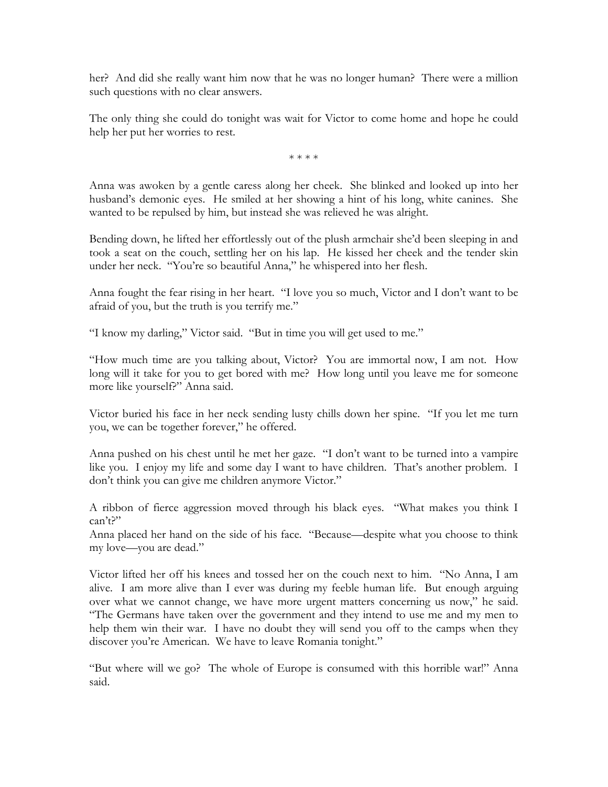her? And did she really want him now that he was no longer human? There were a million such questions with no clear answers.

The only thing she could do tonight was wait for Victor to come home and hope he could help her put her worries to rest.

\* \* \* \*

Anna was awoken by a gentle caress along her cheek. She blinked and looked up into her husband's demonic eyes. He smiled at her showing a hint of his long, white canines. She wanted to be repulsed by him, but instead she was relieved he was alright.

Bending down, he lifted her effortlessly out of the plush armchair she'd been sleeping in and took a seat on the couch, settling her on his lap. He kissed her cheek and the tender skin under her neck. "You're so beautiful Anna," he whispered into her flesh.

Anna fought the fear rising in her heart. "I love you so much, Victor and I don't want to be afraid of you, but the truth is you terrify me."

"I know my darling," Victor said. "But in time you will get used to me."

"How much time are you talking about, Victor? You are immortal now, I am not. How long will it take for you to get bored with me? How long until you leave me for someone more like yourself?" Anna said.

Victor buried his face in her neck sending lusty chills down her spine. "If you let me turn you, we can be together forever," he offered.

Anna pushed on his chest until he met her gaze. "I don't want to be turned into a vampire like you. I enjoy my life and some day I want to have children. That's another problem. I don't think you can give me children anymore Victor."

A ribbon of fierce aggression moved through his black eyes. "What makes you think I can't?"

Anna placed her hand on the side of his face. "Because—despite what you choose to think my love—you are dead."

Victor lifted her off his knees and tossed her on the couch next to him. "No Anna, I am alive. I am more alive than I ever was during my feeble human life. But enough arguing over what we cannot change, we have more urgent matters concerning us now," he said. "The Germans have taken over the government and they intend to use me and my men to help them win their war. I have no doubt they will send you off to the camps when they discover you're American. We have to leave Romania tonight."

"But where will we go? The whole of Europe is consumed with this horrible war!" Anna said.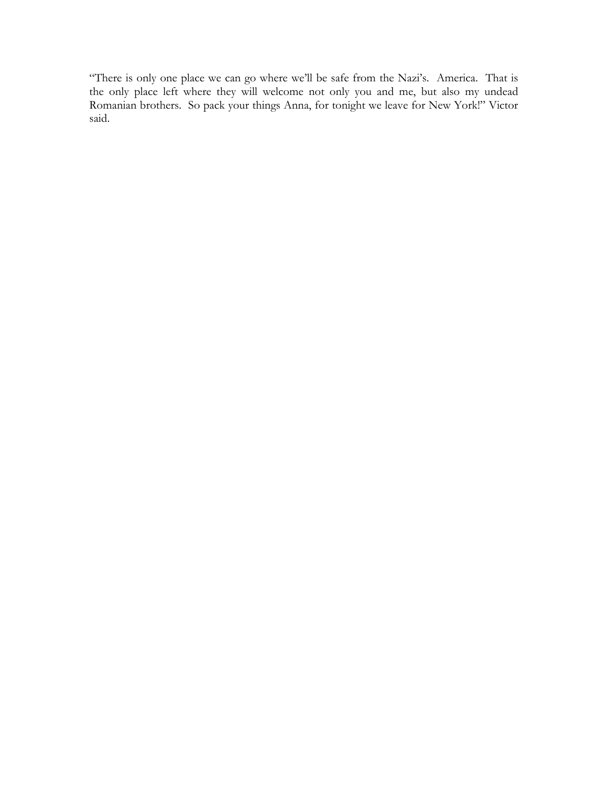"There is only one place we can go where we'll be safe from the Nazi's. America. That is the only place left where they will welcome not only you and me, but also my undead Romanian brothers. So pack your things Anna, for tonight we leave for New York!" Victor said.